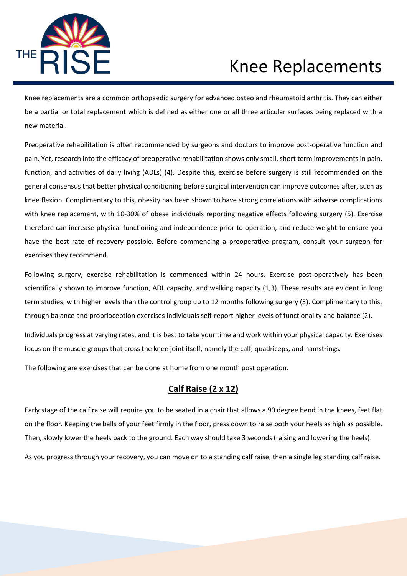

Knee replacements are a common orthopaedic surgery for advanced osteo and rheumatoid arthritis. They can either be a partial or total replacement which is defined as either one or all three articular surfaces being replaced with a new material.

Preoperative rehabilitation is often recommended by surgeons and doctors to improve post-operative function and pain. Yet, research into the efficacy of preoperative rehabilitation shows only small, short term improvements in pain, function, and activities of daily living (ADLs) (4). Despite this, exercise before surgery is still recommended on the general consensus that better physical conditioning before surgical intervention can improve outcomes after, such as knee flexion. Complimentary to this, obesity has been shown to have strong correlations with adverse complications with knee replacement, with 10-30% of obese individuals reporting negative effects following surgery (5). Exercise therefore can increase physical functioning and independence prior to operation, and reduce weight to ensure you have the best rate of recovery possible. Before commencing a preoperative program, consult your surgeon for exercises they recommend.

Following surgery, exercise rehabilitation is commenced within 24 hours. Exercise post-operatively has been scientifically shown to improve function, ADL capacity, and walking capacity (1,3). These results are evident in long term studies, with higher levels than the control group up to 12 months following surgery (3). Complimentary to this, through balance and proprioception exercises individuals self-report higher levels of functionality and balance (2).

Individuals progress at varying rates, and it is best to take your time and work within your physical capacity. Exercises focus on the muscle groups that cross the knee joint itself, namely the calf, quadriceps, and hamstrings.

The following are exercises that can be done at home from one month post operation.

#### **Calf Raise (2 x 12)**

Early stage of the calf raise will require you to be seated in a chair that allows a 90 degree bend in the knees, feet flat on the floor. Keeping the balls of your feet firmly in the floor, press down to raise both your heels as high as possible. Then, slowly lower the heels back to the ground. Each way should take 3 seconds (raising and lowering the heels).

As you progress through your recovery, you can move on to a standing calf raise, then a single leg standing calf raise.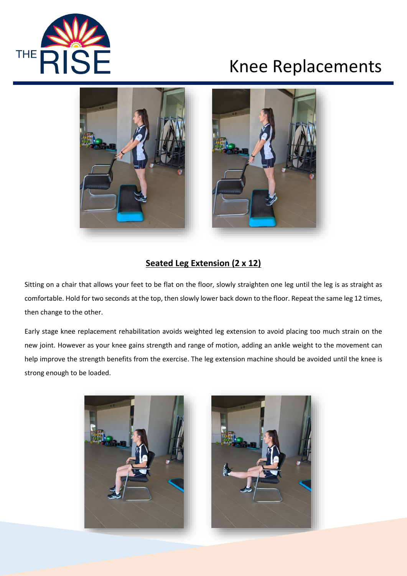



### **Seated Leg Extension (2 x 12)**

Sitting on a chair that allows your feet to be flat on the floor, slowly straighten one leg until the leg is as straight as comfortable. Hold for two seconds at the top, then slowly lower back down to the floor. Repeat the same leg 12 times, then change to the other.

Early stage knee replacement rehabilitation avoids weighted leg extension to avoid placing too much strain on the new joint. However as your knee gains strength and range of motion, adding an ankle weight to the movement can help improve the strength benefits from the exercise. The leg extension machine should be avoided until the knee is strong enough to be loaded.



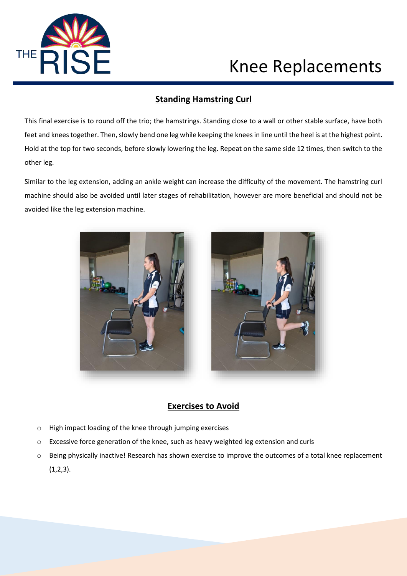

### **Standing Hamstring Curl**

This final exercise is to round off the trio; the hamstrings. Standing close to a wall or other stable surface, have both feet and knees together. Then, slowly bend one leg while keeping the knees in line until the heel is at the highest point. Hold at the top for two seconds, before slowly lowering the leg. Repeat on the same side 12 times, then switch to the other leg.

Similar to the leg extension, adding an ankle weight can increase the difficulty of the movement. The hamstring curl machine should also be avoided until later stages of rehabilitation, however are more beneficial and should not be avoided like the leg extension machine.





### **Exercises to Avoid**

- o High impact loading of the knee through jumping exercises
- $\circ$  Excessive force generation of the knee, such as heavy weighted leg extension and curls
- o Being physically inactive! Research has shown exercise to improve the outcomes of a total knee replacement  $(1,2,3)$ .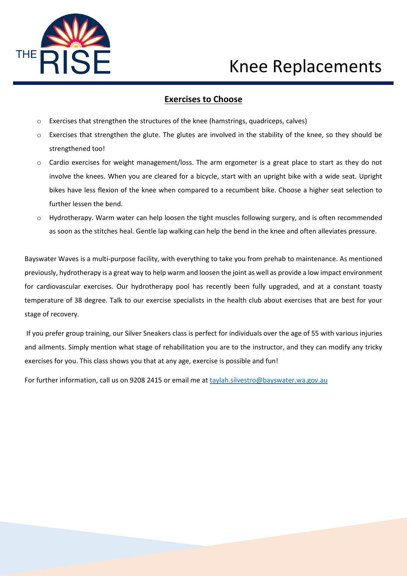

#### **Exercises to Choose**

- o Exercises that strengthen the structures of the knee (hamstrings, quadriceps, calves)
- o Exercises that strengthen the glute. The glutes are involved in the stability of the knee, so they should be strengthened too!
- $\circ$  Cardio exercises for weight management/loss. The arm ergometer is a great place to start as they do not involve the knees. When you are cleared for a bicycle, start with an upright bike with a wide seat. Upright bikes have less flexion of the knee when compared to a recumbent bike. Choose a higher seat selection to further lessen the bend.
- o Hydrotherapy. Warm water can help loosen the tight muscles following surgery, and is often recommended as soon as the stitches heal. Gentle lap walking can help the bend in the knee and often alleviates pressure.

Bayswater Waves is a multi-purpose facility, with everything to take you from prehab to maintenance. As mentioned previously, hydrotherapy is a great way to help warm and loosen the joint as well as provide a low impact environment for cardiovascular exercises. Our hydrotherapy pool has recently been fully upgraded, and at a constant toasty temperature of 38 degree. Talk to our exercise specialists in the health club about exercises that are best for your stage of recovery.

 If you prefer group training, our Silver Sneakers class is perfect for individuals over the age of 55 with various injuries and ailments. Simply mention what stage of rehabilitation you are to the instructor, and they can modify any tricky exercises for you. This class shows you that at any age, exercise is possible and fun!

For further information, call us on 9208 2415 or email me at [taylah.silvestro@bayswater.wa.gov.au](mailto:taylah.silvestro@bayswater.wa.gov.au)